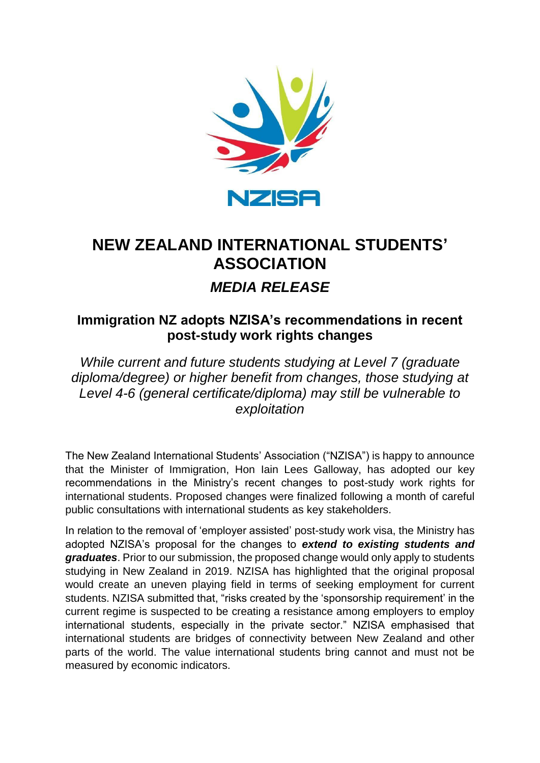

## **NEW ZEALAND INTERNATIONAL STUDENTS' ASSOCIATION** *MEDIA RELEASE*

## **Immigration NZ adopts NZISA's recommendations in recent post-study work rights changes**

*While current and future students studying at Level 7 (graduate diploma/degree) or higher benefit from changes, those studying at Level 4-6 (general certificate/diploma) may still be vulnerable to exploitation*

The New Zealand International Students' Association ("NZISA") is happy to announce that the Minister of Immigration, Hon Iain Lees Galloway, has adopted our key recommendations in the Ministry's recent changes to post-study work rights for international students. Proposed changes were finalized following a month of careful public consultations with international students as key stakeholders.

In relation to the removal of 'employer assisted' post-study work visa, the Ministry has adopted NZISA's proposal for the changes to *extend to existing students and graduates*. Prior to our submission, the proposed change would only apply to students studying in New Zealand in 2019. NZISA has highlighted that the original proposal would create an uneven playing field in terms of seeking employment for current students. NZISA submitted that, "risks created by the 'sponsorship requirement' in the current regime is suspected to be creating a resistance among employers to employ international students, especially in the private sector." NZISA emphasised that international students are bridges of connectivity between New Zealand and other parts of the world. The value international students bring cannot and must not be measured by economic indicators.